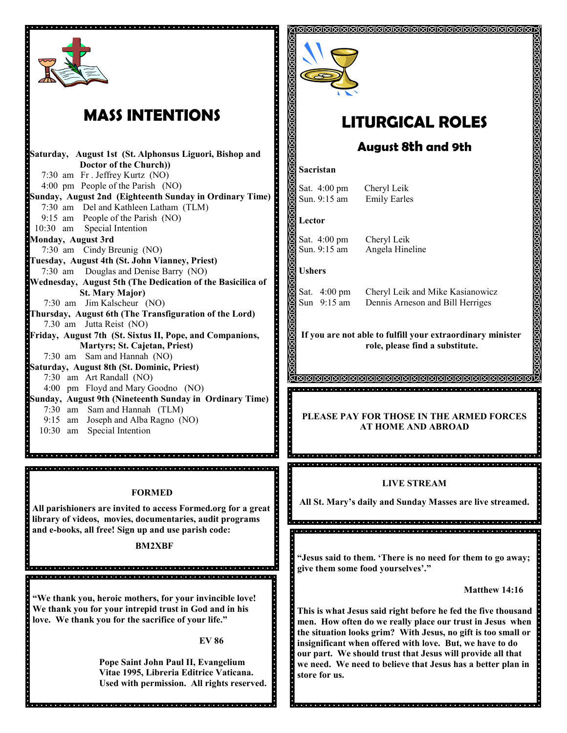

# **MASS INTENTIONS**

**Saturday, August 1st (St. Alphonsus Liguori, Bishop and Doctor of the Church))** 7:30 am Fr . Jeffrey Kurtz (NO) 4:00 pm People of the Parish (NO) **Sunday, August 2nd (Eighteenth Sunday in Ordinary Time)** 7:30 am Del and Kathleen Latham (TLM) 9:15 am People of the Parish (NO) 10:30 am Special Intention **Monday, August 3rd** 7:30 am Cindy Breunig (NO) **Tuesday, August 4th (St. John Vianney, Priest)**  7:30 am Douglas and Denise Barry (NO) **Wednesday, August 5th (The Dedication of the Basicilica of St. Mary Major)** 7:30 am Jim Kalscheur (NO) **Thursday, August 6th (The Transfiguration of the Lord)** 7.30 am Jutta Reist (NO) **Friday, August 7th (St. Sixtus II, Pope, and Companions, Martyrs; St. Cajetan, Priest)** 7:30 am Sam and Hannah (NO) **Saturday, August 8th (St. Dominic, Priest)** 7:30 am Art Randall (NO) 4:00 pm Floyd and Mary Goodno (NO) **Sunday, August 9th (Nineteenth Sunday in Ordinary Time)**  7:30 am Sam and Hannah (TLM) 9:15 am Joseph and Alba Ragno (NO) 10:30 am Special Intention

#### **FORMED**

**All parishioners are invited to access Formed.org for a great library of videos, movies, documentaries, audit programs and e-books, all free! Sign up and use parish code:**

#### **BM2XBF**

**"We thank you, heroic mothers, for your invincible love! We thank you for your intrepid trust in God and in his love. We thank you for the sacrifice of your life."**

.<br>In alchaigh a chaigh a chaigh a chaigh a chaigh a chaigh a chaigh a chaigh a chaigh a chaigh a chaigh a chaigh <u>a de ejero de ejero de ejero de ejero de delejero de ejero de de de de ejero de ejero de de d</u>

**EV 86**

**Pope Saint John Paul II, Evangelium Vitae 1995, Libreria Editrice Vaticana. Used with permission. All rights reserved.**



# **LITURGICAL ROLES**

## **August 8th and 9th**

#### **Sacristan**

Sat. 4:00 pm Cheryl Leik Sun. 9:15 am Emily Earles

#### **Lector**

Sat. 4:00 pm Cheryl Leik Sun. 9:15 am Angela Hineline

#### **Ushers**

Sat. 4:00 pm Cheryl Leik and Mike Kasianowicz Sun 9:15 am Dennis Arneson and Bill Herriges

**If you are not able to fulfill your extraordinary minister role, please find a substitute.** 

<u>AMMMMMMMMMMMMMMMMMMMMM</u> 

#### **PLEASE PAY FOR THOSE IN THE ARMED FORCES AT HOME AND ABROAD**

#### **LIVE STREAM**

g<br>Socjojo oje otoje oje je i dielej dielej dielej dielej dielej dielej dielej e od jedno je letoje je telej diel

a dia la rajala ia lajala lajala ja jalala ja jalala ja jalala ja jalala ja jalala ja jarajala jalala ja ja ja

**All St. Mary's daily and Sunday Masses are live streamed.**

ă<br>Confederate de conceptora de conceptora de conceptora de conceptora de c dialektrista dialektrista dialektrista dialektrista dialektrista dialektrista dialektrista dialektrista dialek

**"Jesus said to them. 'There is no need for them to go away; give them some food yourselves'."** 

**Matthew 14:16**

**This is what Jesus said right before he fed the five thousand men. How often do we really place our trust in Jesus when the situation looks grim? With Jesus, no gift is too small or insignificant when offered with love. But, we have to do our part. We should trust that Jesus will provide all that we need. We need to believe that Jesus has a better plan in store for us.** 

inicio inicio inicio inicio inicio inicio inicio inicio inicio inicio inicio inicio inicio inicio inicio inici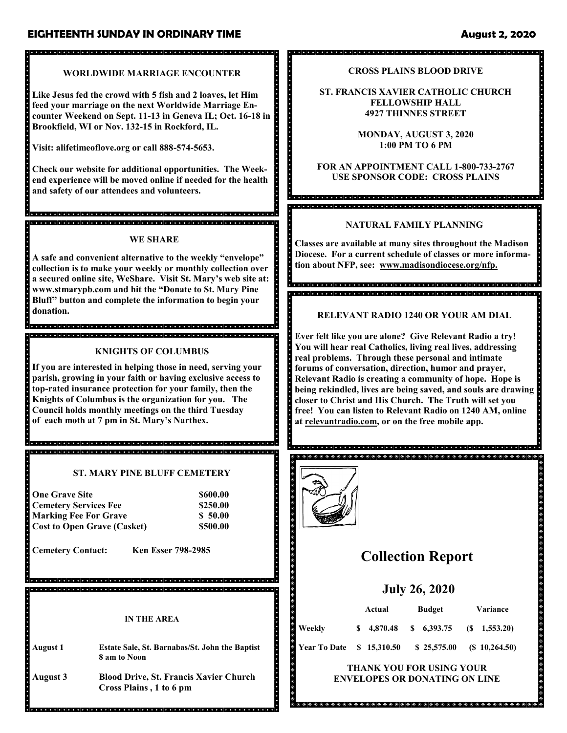## **EIGHTEENTH SUNDAY IN ORDINARY TIME** August 2, 2020

### **WORLDWIDE MARRIAGE ENCOUNTER**

**Like Jesus fed the crowd with 5 fish and 2 loaves, let Him feed your marriage on the next Worldwide Marriage Encounter Weekend on Sept. 11-13 in Geneva IL; Oct. 16-18 in Brookfield, WI or Nov. 132-15 in Rockford, IL.**

**Visit: alifetimeoflove.org or call 888-574-5653.** 

**Check our website for additional opportunities. The Weekend experience will be moved online if needed for the health and safety of our attendees and volunteers.**

## **WE SHARE**

.<br>International de la late de la cada de la cada de la cada de la cada de la cada de la cada de la cada de la ca

**A safe and convenient alternative to the weekly "envelope" collection is to make your weekly or monthly collection over a secured online site, WeShare. Visit St. Mary's web site at: www.stmarypb.com and hit the "Donate to St. Mary Pine Bluff" button and complete the information to begin your donation.**

,<br>Inicializació de la calcada de la calcada de la calcada de la calcada de la calcada de la calcada de la calcad 

### **KNIGHTS OF COLUMBUS**

**If you are interested in helping those in need, serving your parish, growing in your faith or having exclusive access to top-rated insurance protection for your family, then the Knights of Columbus is the organization for you. The Council holds monthly meetings on the third Tuesday of each moth at 7 pm in St. Mary's Narthex.** 

**ST. MARY PINE BLUFF CEMETERY**

<u>.</u><br>Inicial dictator di dictatori di dictatori di dictatori di dictatori di dictatori di dictatori di dictatori di

| <b>One Grave Site</b>              | \$600.00 |
|------------------------------------|----------|
| <b>Cemetery Services Fee</b>       | \$250.00 |
| <b>Marking Fee For Grave</b>       | \$50.00  |
| <b>Cost to Open Grave (Casket)</b> | \$500.00 |

**Cemetery Contact: Ken Esser 798-2985**

**IN THE AREA**

- **August 1 Estate Sale, St. Barnabas/St. John the Baptist 8 am to Noon**
- **August 3 Blood Drive, St. Francis Xavier Church Cross Plains , 1 to 6 pm**

**CROSS PLAINS BLOOD DRIVE**

**ST. FRANCIS XAVIER CATHOLIC CHURCH FELLOWSHIP HALL 4927 THINNES STREET**

> **MONDAY, AUGUST 3, 2020 1:00 PM TO 6 PM**

**FOR AN APPOINTMENT CALL 1-800-733-2767 USE SPONSOR CODE: CROSS PLAINS**

a cienciale de la cienciale de la cienciale de la cienciale de la ciencia de la ciencia de la cienciale de la cie .<br>In del de la ciolo de la ciolo de la ciolo de la ciolo de la ciolo de la ciolo de la ciolo de la ciolo de la cio

### **NATURAL FAMILY PLANNING**

**Classes are available at many sites throughout the Madison Diocese. For a current schedule of classes or more information about NFP, see: www.madisondiocese.org/nfp.**

**RELEVANT RADIO 1240 OR YOUR AM DIAL**

**Ever felt like you are alone? Give Relevant Radio a try! You will hear real Catholics, living real lives, addressing real problems. Through these personal and intimate forums of conversation, direction, humor and prayer, Relevant Radio is creating a community of hope. Hope is being rekindled, lives are being saved, and souls are drawing closer to Christ and His Church. The Truth will set you free! You can listen to Relevant Radio on 1240 AM, online at relevantradio.com, or on the free mobile app.**



# **Collection Report**

## **July 26, 2020**

| Weekly              | Actual |             | <b>Budget</b> |              | <b>Variance</b> |                  |
|---------------------|--------|-------------|---------------|--------------|-----------------|------------------|
|                     |        | \$4.870.48  |               | $\$6,393.75$ |                 | $(S \t1.553.20)$ |
| <b>Year To Date</b> |        | \$15,310.50 |               | \$25,575.00  |                 | $(S\ 10,264.50)$ |

**THANK YOU FOR USING YOUR ENVELOPES OR DONATING ON LINE**